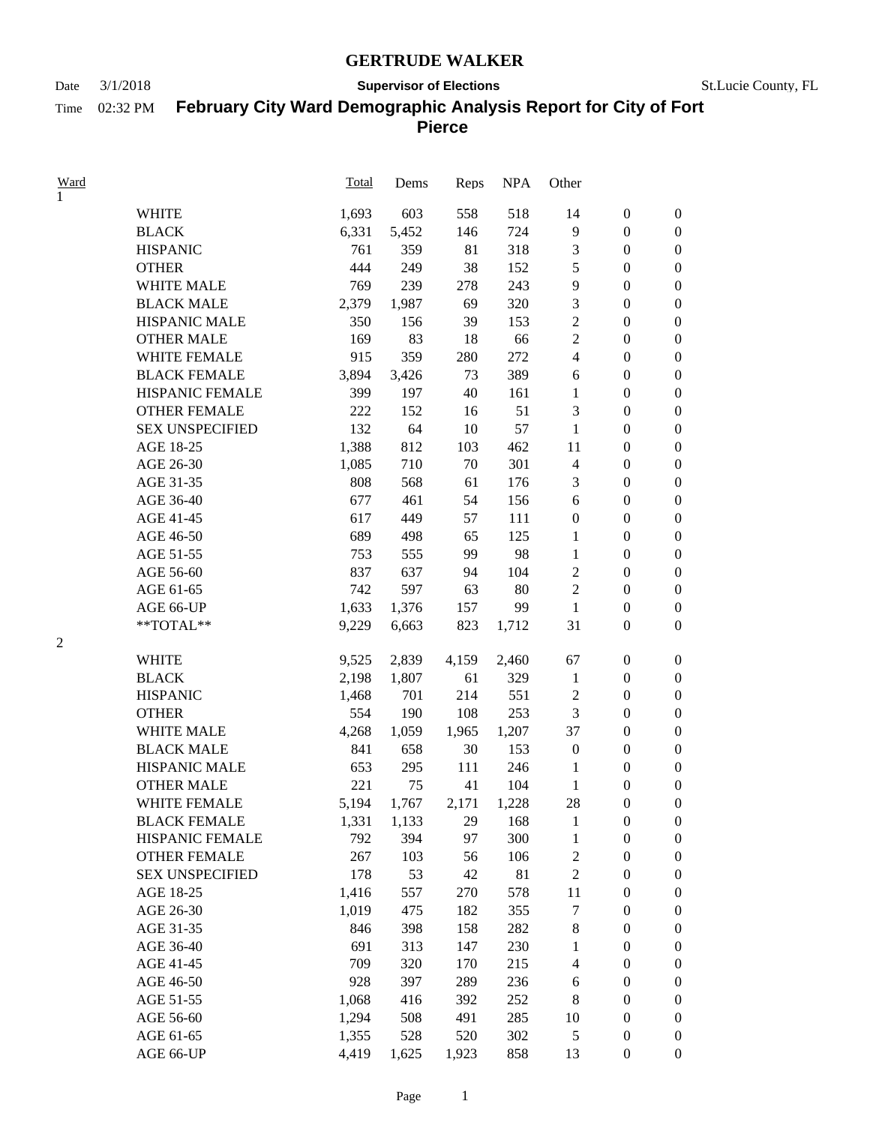### **GERTRUDE WALKER**

Time 02:32 PM

## Date  $3/1/2018$  **Supervisor of Elections** St.Lucie County, FL

# **February City Ward Demographic Analysis Report for City of Fort**

**Pierce**

| <u>Ward</u> |                        | Total | Dems  | Reps  | <b>NPA</b> | Other            |                  |                  |
|-------------|------------------------|-------|-------|-------|------------|------------------|------------------|------------------|
| 1           |                        |       |       |       |            |                  |                  |                  |
|             | <b>WHITE</b>           | 1,693 | 603   | 558   | 518        | 14               | $\boldsymbol{0}$ | $\boldsymbol{0}$ |
|             | <b>BLACK</b>           | 6,331 | 5,452 | 146   | 724        | 9                | $\boldsymbol{0}$ | $\boldsymbol{0}$ |
|             | <b>HISPANIC</b>        | 761   | 359   | 81    | 318        | $\mathfrak{Z}$   | $\boldsymbol{0}$ | $\boldsymbol{0}$ |
|             | <b>OTHER</b>           | 444   | 249   | 38    | 152        | $\mathfrak s$    | $\boldsymbol{0}$ | $\boldsymbol{0}$ |
|             | <b>WHITE MALE</b>      | 769   | 239   | 278   | 243        | 9                | $\boldsymbol{0}$ | $\boldsymbol{0}$ |
|             | <b>BLACK MALE</b>      | 2,379 | 1,987 | 69    | 320        | $\mathfrak 3$    | $\boldsymbol{0}$ | $\boldsymbol{0}$ |
|             | <b>HISPANIC MALE</b>   | 350   | 156   | 39    | 153        | $\overline{2}$   | $\boldsymbol{0}$ | $\boldsymbol{0}$ |
|             | <b>OTHER MALE</b>      | 169   | 83    | 18    | 66         | $\overline{2}$   | $\boldsymbol{0}$ | $\boldsymbol{0}$ |
|             | WHITE FEMALE           | 915   | 359   | 280   | 272        | $\overline{4}$   | $\boldsymbol{0}$ | $\boldsymbol{0}$ |
|             | <b>BLACK FEMALE</b>    | 3,894 | 3,426 | 73    | 389        | 6                | $\boldsymbol{0}$ | $\boldsymbol{0}$ |
|             | HISPANIC FEMALE        | 399   | 197   | 40    | 161        | 1                | $\boldsymbol{0}$ | $\boldsymbol{0}$ |
|             | <b>OTHER FEMALE</b>    | 222   | 152   | 16    | 51         | 3                | $\boldsymbol{0}$ | $\boldsymbol{0}$ |
|             | <b>SEX UNSPECIFIED</b> | 132   | 64    | 10    | 57         | 1                | $\boldsymbol{0}$ | $\boldsymbol{0}$ |
|             | AGE 18-25              | 1,388 | 812   | 103   | 462        | 11               | $\boldsymbol{0}$ | $\boldsymbol{0}$ |
|             | AGE 26-30              | 1,085 | 710   | 70    | 301        | $\overline{4}$   | $\boldsymbol{0}$ | $\boldsymbol{0}$ |
|             | AGE 31-35              | 808   | 568   | 61    | 176        | 3                | $\boldsymbol{0}$ | $\boldsymbol{0}$ |
|             | AGE 36-40              | 677   | 461   | 54    | 156        | 6                | $\boldsymbol{0}$ | $\boldsymbol{0}$ |
|             | AGE 41-45              | 617   | 449   | 57    | 111        | $\boldsymbol{0}$ | $\boldsymbol{0}$ | $\boldsymbol{0}$ |
|             | AGE 46-50              | 689   | 498   | 65    | 125        | 1                | $\boldsymbol{0}$ | $\boldsymbol{0}$ |
|             | AGE 51-55              | 753   | 555   | 99    | 98         | 1                | $\boldsymbol{0}$ | $\boldsymbol{0}$ |
|             | AGE 56-60              | 837   | 637   | 94    | 104        | $\overline{2}$   | $\boldsymbol{0}$ | $\boldsymbol{0}$ |
|             | AGE 61-65              | 742   | 597   | 63    | 80         | $\overline{2}$   | $\boldsymbol{0}$ | $\boldsymbol{0}$ |
|             | AGE 66-UP              | 1,633 | 1,376 | 157   | 99         | 1                | $\boldsymbol{0}$ | $\boldsymbol{0}$ |
|             | $**TOTAL**$            | 9,229 | 6,663 | 823   | 1,712      | 31               | $\boldsymbol{0}$ | $\boldsymbol{0}$ |
|             |                        |       |       |       |            |                  |                  |                  |
|             | <b>WHITE</b>           | 9,525 | 2,839 | 4,159 | 2,460      | 67               | $\boldsymbol{0}$ | $\boldsymbol{0}$ |
|             | <b>BLACK</b>           | 2,198 | 1,807 | 61    | 329        | $\mathbf{1}$     | $\boldsymbol{0}$ | $\boldsymbol{0}$ |
|             | <b>HISPANIC</b>        | 1,468 | 701   | 214   | 551        | $\mathfrak 2$    | $\boldsymbol{0}$ | $\boldsymbol{0}$ |
|             | <b>OTHER</b>           | 554   | 190   | 108   | 253        | 3                | $\boldsymbol{0}$ | $\boldsymbol{0}$ |
|             | <b>WHITE MALE</b>      | 4,268 | 1,059 | 1,965 | 1,207      | 37               | $\boldsymbol{0}$ | $\boldsymbol{0}$ |
|             | <b>BLACK MALE</b>      | 841   | 658   | 30    | 153        | $\boldsymbol{0}$ | $\boldsymbol{0}$ | $\boldsymbol{0}$ |
|             | HISPANIC MALE          | 653   | 295   | 111   | 246        | 1                | $\boldsymbol{0}$ | $\boldsymbol{0}$ |
|             | <b>OTHER MALE</b>      | 221   | 75    | 41    | 104        | 1                | $\boldsymbol{0}$ | $\boldsymbol{0}$ |
|             | WHITE FEMALE           | 5,194 | 1,767 | 2,171 | 1,228      | 28               | $\boldsymbol{0}$ | $\boldsymbol{0}$ |
|             | <b>BLACK FEMALE</b>    | 1,331 | 1,133 | 29    | 168        | $\mathbf{1}$     | $\boldsymbol{0}$ | $\boldsymbol{0}$ |
|             | HISPANIC FEMALE        | 792   | 394   | 97    | 300        | $\mathbf{1}$     | $\boldsymbol{0}$ | $\boldsymbol{0}$ |
|             | <b>OTHER FEMALE</b>    | 267   | 103   | 56    | 106        | $\sqrt{2}$       | $\boldsymbol{0}$ | $\boldsymbol{0}$ |
|             | <b>SEX UNSPECIFIED</b> | 178   | 53    | 42    | 81         | $\sqrt{2}$       | $\boldsymbol{0}$ | $\boldsymbol{0}$ |
|             | AGE 18-25              | 1,416 | 557   | 270   | 578        | 11               | $\boldsymbol{0}$ | $\boldsymbol{0}$ |
|             | AGE 26-30              | 1,019 | 475   | 182   | 355        | $\boldsymbol{7}$ | $\boldsymbol{0}$ | $\boldsymbol{0}$ |
|             | AGE 31-35              | 846   | 398   | 158   | 282        | $\,8\,$          | $\boldsymbol{0}$ | $\boldsymbol{0}$ |
|             | AGE 36-40              | 691   | 313   | 147   | 230        | $\mathbf{1}$     | $\boldsymbol{0}$ | $\boldsymbol{0}$ |
|             | AGE 41-45              | 709   | 320   | 170   | 215        | $\overline{4}$   | $\boldsymbol{0}$ | $\boldsymbol{0}$ |
|             | AGE 46-50              | 928   | 397   | 289   | 236        | 6                | $\boldsymbol{0}$ | $\boldsymbol{0}$ |
|             | AGE 51-55              | 1,068 | 416   | 392   | 252        | $\,8\,$          | $\boldsymbol{0}$ | $\boldsymbol{0}$ |
|             | AGE 56-60              | 1,294 | 508   | 491   | 285        | 10               | $\boldsymbol{0}$ | $\boldsymbol{0}$ |
|             | AGE 61-65              | 1,355 | 528   | 520   | 302        | $\mathfrak s$    | $\boldsymbol{0}$ | $\boldsymbol{0}$ |
|             | AGE 66-UP              | 4,419 | 1,625 | 1,923 | 858        | 13               | $\boldsymbol{0}$ | $\boldsymbol{0}$ |
|             |                        |       |       |       |            |                  |                  |                  |